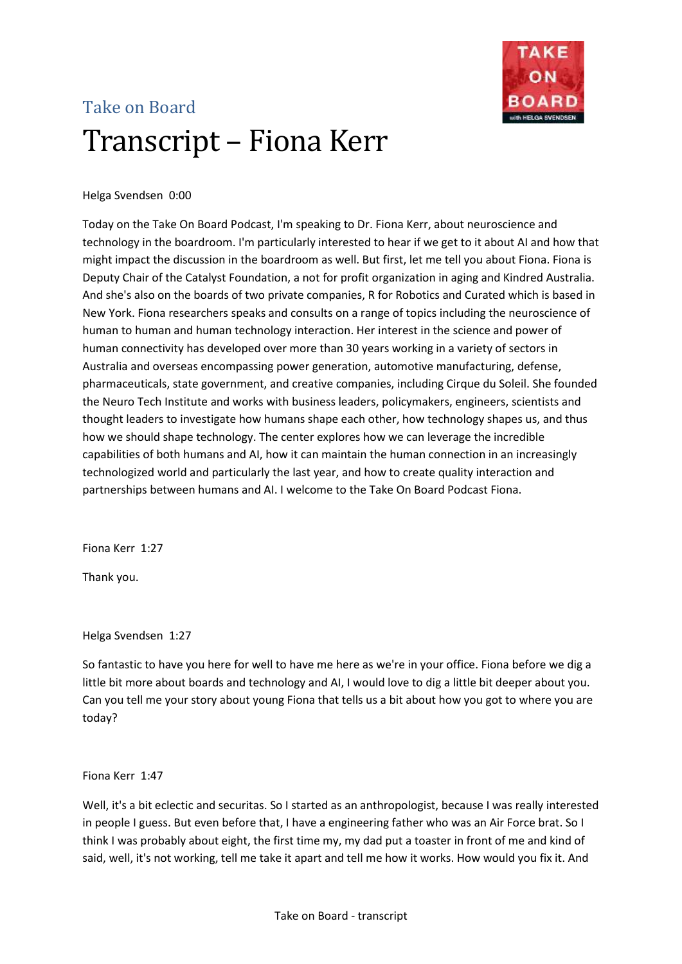

# Take on Board Transcript – Fiona Kerr

# Helga Svendsen 0:00

Today on the Take On Board Podcast, I'm speaking to Dr. Fiona Kerr, about neuroscience and technology in the boardroom. I'm particularly interested to hear if we get to it about AI and how that might impact the discussion in the boardroom as well. But first, let me tell you about Fiona. Fiona is Deputy Chair of the Catalyst Foundation, a not for profit organization in aging and Kindred Australia. And she's also on the boards of two private companies, R for Robotics and Curated which is based in New York. Fiona researchers speaks and consults on a range of topics including the neuroscience of human to human and human technology interaction. Her interest in the science and power of human connectivity has developed over more than 30 years working in a variety of sectors in Australia and overseas encompassing power generation, automotive manufacturing, defense, pharmaceuticals, state government, and creative companies, including Cirque du Soleil. She founded the Neuro Tech Institute and works with business leaders, policymakers, engineers, scientists and thought leaders to investigate how humans shape each other, how technology shapes us, and thus how we should shape technology. The center explores how we can leverage the incredible capabilities of both humans and AI, how it can maintain the human connection in an increasingly technologized world and particularly the last year, and how to create quality interaction and partnerships between humans and AI. I welcome to the Take On Board Podcast Fiona.

Fiona Kerr 1:27

Thank you.

Helga Svendsen 1:27

So fantastic to have you here for well to have me here as we're in your office. Fiona before we dig a little bit more about boards and technology and AI, I would love to dig a little bit deeper about you. Can you tell me your story about young Fiona that tells us a bit about how you got to where you are today?

Fiona Kerr 1:47

Well, it's a bit eclectic and securitas. So I started as an anthropologist, because I was really interested in people I guess. But even before that, I have a engineering father who was an Air Force brat. So I think I was probably about eight, the first time my, my dad put a toaster in front of me and kind of said, well, it's not working, tell me take it apart and tell me how it works. How would you fix it. And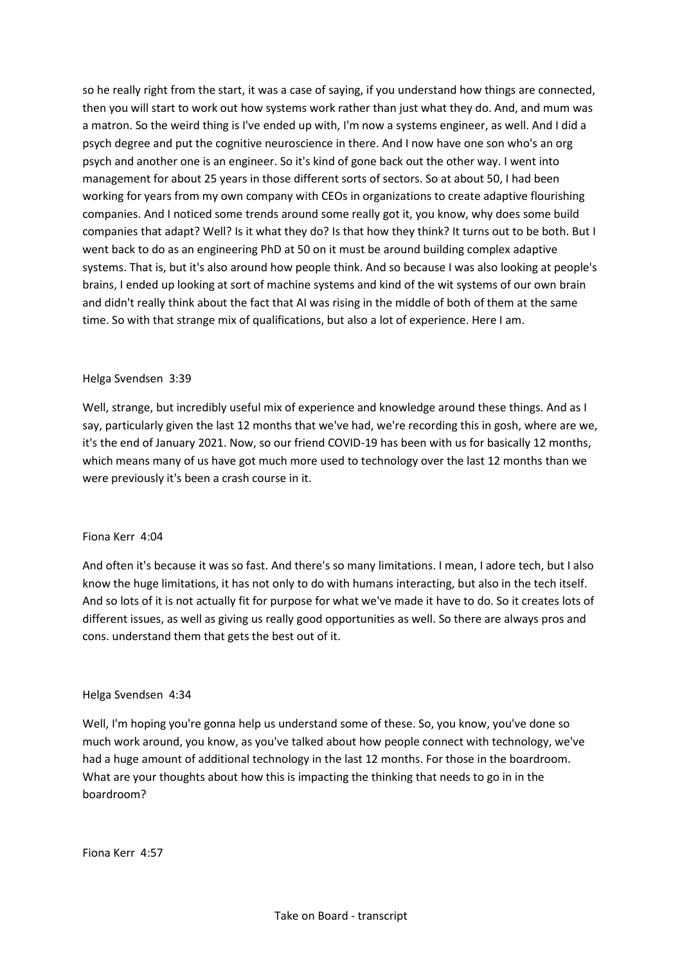so he really right from the start, it was a case of saying, if you understand how things are connected, then you will start to work out how systems work rather than just what they do. And, and mum was a matron. So the weird thing is I've ended up with, I'm now a systems engineer, as well. And I did a psych degree and put the cognitive neuroscience in there. And I now have one son who's an org psych and another one is an engineer. So it's kind of gone back out the other way. I went into management for about 25 years in those different sorts of sectors. So at about 50, I had been working for years from my own company with CEOs in organizations to create adaptive flourishing companies. And I noticed some trends around some really got it, you know, why does some build companies that adapt? Well? Is it what they do? Is that how they think? It turns out to be both. But I went back to do as an engineering PhD at 50 on it must be around building complex adaptive systems. That is, but it's also around how people think. And so because I was also looking at people's brains, I ended up looking at sort of machine systems and kind of the wit systems of our own brain and didn't really think about the fact that AI was rising in the middle of both of them at the same time. So with that strange mix of qualifications, but also a lot of experience. Here I am.

## Helga Svendsen 3:39

Well, strange, but incredibly useful mix of experience and knowledge around these things. And as I say, particularly given the last 12 months that we've had, we're recording this in gosh, where are we, it's the end of January 2021. Now, so our friend COVID-19 has been with us for basically 12 months, which means many of us have got much more used to technology over the last 12 months than we were previously it's been a crash course in it.

## Fiona Kerr 4:04

And often it's because it was so fast. And there's so many limitations. I mean, I adore tech, but I also know the huge limitations, it has not only to do with humans interacting, but also in the tech itself. And so lots of it is not actually fit for purpose for what we've made it have to do. So it creates lots of different issues, as well as giving us really good opportunities as well. So there are always pros and cons. understand them that gets the best out of it.

## Helga Svendsen 4:34

Well, I'm hoping you're gonna help us understand some of these. So, you know, you've done so much work around, you know, as you've talked about how people connect with technology, we've had a huge amount of additional technology in the last 12 months. For those in the boardroom. What are your thoughts about how this is impacting the thinking that needs to go in in the boardroom?

Fiona Kerr 4:57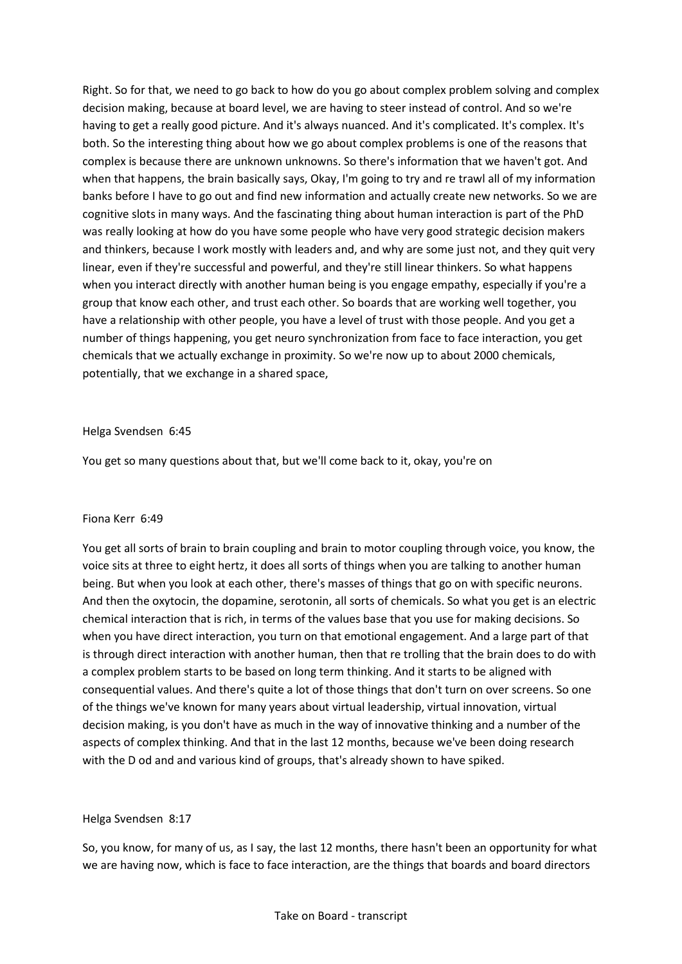Right. So for that, we need to go back to how do you go about complex problem solving and complex decision making, because at board level, we are having to steer instead of control. And so we're having to get a really good picture. And it's always nuanced. And it's complicated. It's complex. It's both. So the interesting thing about how we go about complex problems is one of the reasons that complex is because there are unknown unknowns. So there's information that we haven't got. And when that happens, the brain basically says, Okay, I'm going to try and re trawl all of my information banks before I have to go out and find new information and actually create new networks. So we are cognitive slots in many ways. And the fascinating thing about human interaction is part of the PhD was really looking at how do you have some people who have very good strategic decision makers and thinkers, because I work mostly with leaders and, and why are some just not, and they quit very linear, even if they're successful and powerful, and they're still linear thinkers. So what happens when you interact directly with another human being is you engage empathy, especially if you're a group that know each other, and trust each other. So boards that are working well together, you have a relationship with other people, you have a level of trust with those people. And you get a number of things happening, you get neuro synchronization from face to face interaction, you get chemicals that we actually exchange in proximity. So we're now up to about 2000 chemicals, potentially, that we exchange in a shared space,

## Helga Svendsen 6:45

You get so many questions about that, but we'll come back to it, okay, you're on

## Fiona Kerr 6:49

You get all sorts of brain to brain coupling and brain to motor coupling through voice, you know, the voice sits at three to eight hertz, it does all sorts of things when you are talking to another human being. But when you look at each other, there's masses of things that go on with specific neurons. And then the oxytocin, the dopamine, serotonin, all sorts of chemicals. So what you get is an electric chemical interaction that is rich, in terms of the values base that you use for making decisions. So when you have direct interaction, you turn on that emotional engagement. And a large part of that is through direct interaction with another human, then that re trolling that the brain does to do with a complex problem starts to be based on long term thinking. And it starts to be aligned with consequential values. And there's quite a lot of those things that don't turn on over screens. So one of the things we've known for many years about virtual leadership, virtual innovation, virtual decision making, is you don't have as much in the way of innovative thinking and a number of the aspects of complex thinking. And that in the last 12 months, because we've been doing research with the D od and and various kind of groups, that's already shown to have spiked.

# Helga Svendsen 8:17

So, you know, for many of us, as I say, the last 12 months, there hasn't been an opportunity for what we are having now, which is face to face interaction, are the things that boards and board directors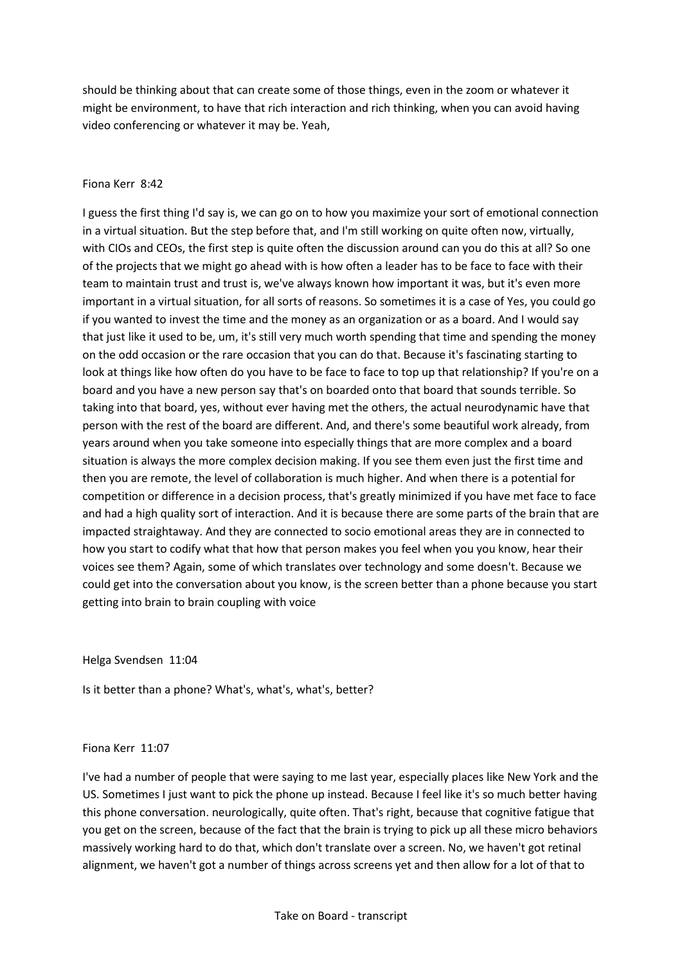should be thinking about that can create some of those things, even in the zoom or whatever it might be environment, to have that rich interaction and rich thinking, when you can avoid having video conferencing or whatever it may be. Yeah,

# Fiona Kerr 8:42

I guess the first thing I'd say is, we can go on to how you maximize your sort of emotional connection in a virtual situation. But the step before that, and I'm still working on quite often now, virtually, with CIOs and CEOs, the first step is quite often the discussion around can you do this at all? So one of the projects that we might go ahead with is how often a leader has to be face to face with their team to maintain trust and trust is, we've always known how important it was, but it's even more important in a virtual situation, for all sorts of reasons. So sometimes it is a case of Yes, you could go if you wanted to invest the time and the money as an organization or as a board. And I would say that just like it used to be, um, it's still very much worth spending that time and spending the money on the odd occasion or the rare occasion that you can do that. Because it's fascinating starting to look at things like how often do you have to be face to face to top up that relationship? If you're on a board and you have a new person say that's on boarded onto that board that sounds terrible. So taking into that board, yes, without ever having met the others, the actual neurodynamic have that person with the rest of the board are different. And, and there's some beautiful work already, from years around when you take someone into especially things that are more complex and a board situation is always the more complex decision making. If you see them even just the first time and then you are remote, the level of collaboration is much higher. And when there is a potential for competition or difference in a decision process, that's greatly minimized if you have met face to face and had a high quality sort of interaction. And it is because there are some parts of the brain that are impacted straightaway. And they are connected to socio emotional areas they are in connected to how you start to codify what that how that person makes you feel when you you know, hear their voices see them? Again, some of which translates over technology and some doesn't. Because we could get into the conversation about you know, is the screen better than a phone because you start getting into brain to brain coupling with voice

Helga Svendsen 11:04

Is it better than a phone? What's, what's, what's, better?

# Fiona Kerr 11:07

I've had a number of people that were saying to me last year, especially places like New York and the US. Sometimes I just want to pick the phone up instead. Because I feel like it's so much better having this phone conversation. neurologically, quite often. That's right, because that cognitive fatigue that you get on the screen, because of the fact that the brain is trying to pick up all these micro behaviors massively working hard to do that, which don't translate over a screen. No, we haven't got retinal alignment, we haven't got a number of things across screens yet and then allow for a lot of that to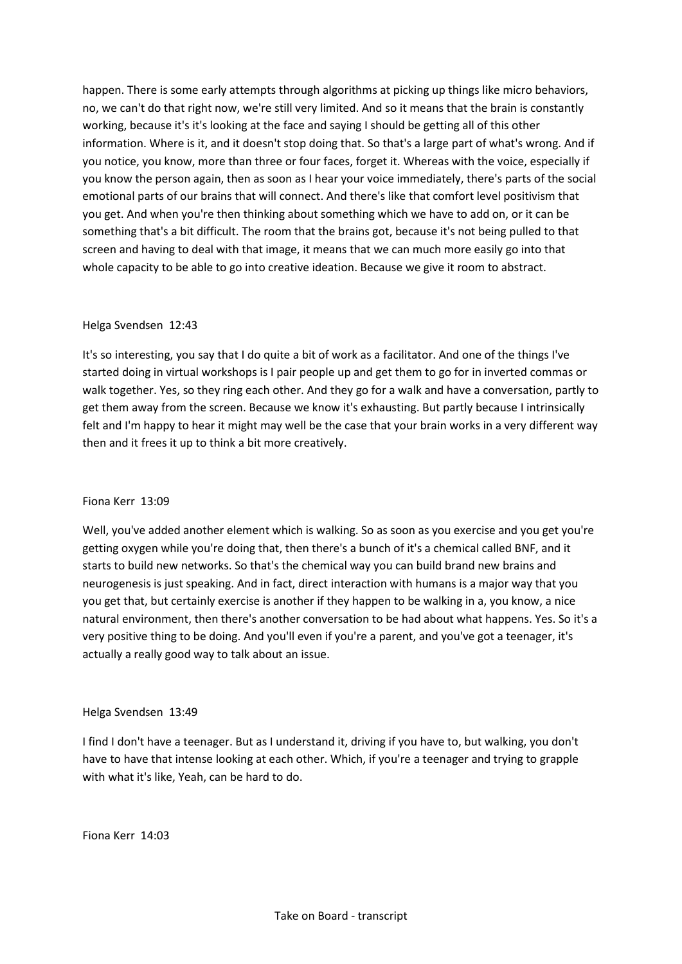happen. There is some early attempts through algorithms at picking up things like micro behaviors, no, we can't do that right now, we're still very limited. And so it means that the brain is constantly working, because it's it's looking at the face and saying I should be getting all of this other information. Where is it, and it doesn't stop doing that. So that's a large part of what's wrong. And if you notice, you know, more than three or four faces, forget it. Whereas with the voice, especially if you know the person again, then as soon as I hear your voice immediately, there's parts of the social emotional parts of our brains that will connect. And there's like that comfort level positivism that you get. And when you're then thinking about something which we have to add on, or it can be something that's a bit difficult. The room that the brains got, because it's not being pulled to that screen and having to deal with that image, it means that we can much more easily go into that whole capacity to be able to go into creative ideation. Because we give it room to abstract.

# Helga Svendsen 12:43

It's so interesting, you say that I do quite a bit of work as a facilitator. And one of the things I've started doing in virtual workshops is I pair people up and get them to go for in inverted commas or walk together. Yes, so they ring each other. And they go for a walk and have a conversation, partly to get them away from the screen. Because we know it's exhausting. But partly because I intrinsically felt and I'm happy to hear it might may well be the case that your brain works in a very different way then and it frees it up to think a bit more creatively.

# Fiona Kerr 13:09

Well, you've added another element which is walking. So as soon as you exercise and you get you're getting oxygen while you're doing that, then there's a bunch of it's a chemical called BNF, and it starts to build new networks. So that's the chemical way you can build brand new brains and neurogenesis is just speaking. And in fact, direct interaction with humans is a major way that you you get that, but certainly exercise is another if they happen to be walking in a, you know, a nice natural environment, then there's another conversation to be had about what happens. Yes. So it's a very positive thing to be doing. And you'll even if you're a parent, and you've got a teenager, it's actually a really good way to talk about an issue.

# Helga Svendsen 13:49

I find I don't have a teenager. But as I understand it, driving if you have to, but walking, you don't have to have that intense looking at each other. Which, if you're a teenager and trying to grapple with what it's like, Yeah, can be hard to do.

Fiona Kerr 14:03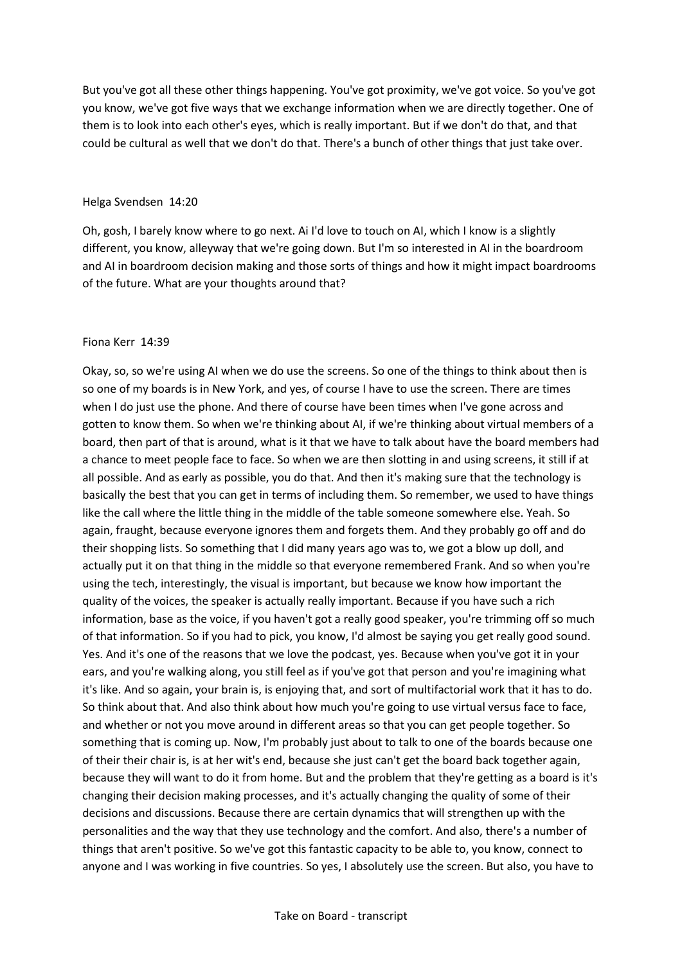But you've got all these other things happening. You've got proximity, we've got voice. So you've got you know, we've got five ways that we exchange information when we are directly together. One of them is to look into each other's eyes, which is really important. But if we don't do that, and that could be cultural as well that we don't do that. There's a bunch of other things that just take over.

#### Helga Svendsen 14:20

Oh, gosh, I barely know where to go next. Ai I'd love to touch on AI, which I know is a slightly different, you know, alleyway that we're going down. But I'm so interested in AI in the boardroom and AI in boardroom decision making and those sorts of things and how it might impact boardrooms of the future. What are your thoughts around that?

#### Fiona Kerr 14:39

Okay, so, so we're using AI when we do use the screens. So one of the things to think about then is so one of my boards is in New York, and yes, of course I have to use the screen. There are times when I do just use the phone. And there of course have been times when I've gone across and gotten to know them. So when we're thinking about AI, if we're thinking about virtual members of a board, then part of that is around, what is it that we have to talk about have the board members had a chance to meet people face to face. So when we are then slotting in and using screens, it still if at all possible. And as early as possible, you do that. And then it's making sure that the technology is basically the best that you can get in terms of including them. So remember, we used to have things like the call where the little thing in the middle of the table someone somewhere else. Yeah. So again, fraught, because everyone ignores them and forgets them. And they probably go off and do their shopping lists. So something that I did many years ago was to, we got a blow up doll, and actually put it on that thing in the middle so that everyone remembered Frank. And so when you're using the tech, interestingly, the visual is important, but because we know how important the quality of the voices, the speaker is actually really important. Because if you have such a rich information, base as the voice, if you haven't got a really good speaker, you're trimming off so much of that information. So if you had to pick, you know, I'd almost be saying you get really good sound. Yes. And it's one of the reasons that we love the podcast, yes. Because when you've got it in your ears, and you're walking along, you still feel as if you've got that person and you're imagining what it's like. And so again, your brain is, is enjoying that, and sort of multifactorial work that it has to do. So think about that. And also think about how much you're going to use virtual versus face to face, and whether or not you move around in different areas so that you can get people together. So something that is coming up. Now, I'm probably just about to talk to one of the boards because one of their their chair is, is at her wit's end, because she just can't get the board back together again, because they will want to do it from home. But and the problem that they're getting as a board is it's changing their decision making processes, and it's actually changing the quality of some of their decisions and discussions. Because there are certain dynamics that will strengthen up with the personalities and the way that they use technology and the comfort. And also, there's a number of things that aren't positive. So we've got this fantastic capacity to be able to, you know, connect to anyone and I was working in five countries. So yes, I absolutely use the screen. But also, you have to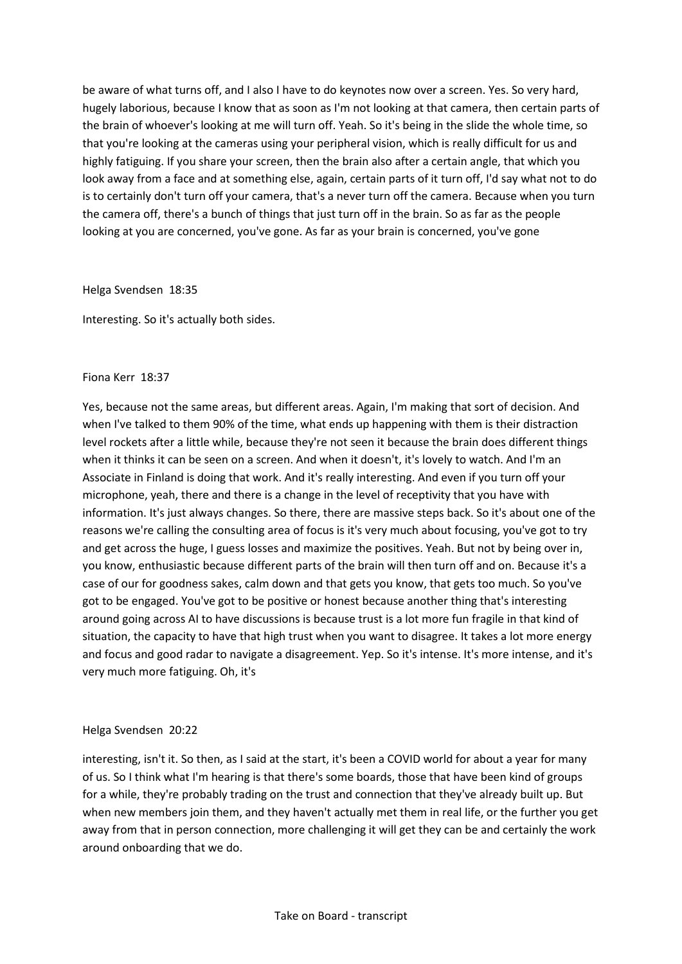be aware of what turns off, and I also I have to do keynotes now over a screen. Yes. So very hard, hugely laborious, because I know that as soon as I'm not looking at that camera, then certain parts of the brain of whoever's looking at me will turn off. Yeah. So it's being in the slide the whole time, so that you're looking at the cameras using your peripheral vision, which is really difficult for us and highly fatiguing. If you share your screen, then the brain also after a certain angle, that which you look away from a face and at something else, again, certain parts of it turn off, I'd say what not to do is to certainly don't turn off your camera, that's a never turn off the camera. Because when you turn the camera off, there's a bunch of things that just turn off in the brain. So as far as the people looking at you are concerned, you've gone. As far as your brain is concerned, you've gone

Helga Svendsen 18:35

Interesting. So it's actually both sides.

## Fiona Kerr 18:37

Yes, because not the same areas, but different areas. Again, I'm making that sort of decision. And when I've talked to them 90% of the time, what ends up happening with them is their distraction level rockets after a little while, because they're not seen it because the brain does different things when it thinks it can be seen on a screen. And when it doesn't, it's lovely to watch. And I'm an Associate in Finland is doing that work. And it's really interesting. And even if you turn off your microphone, yeah, there and there is a change in the level of receptivity that you have with information. It's just always changes. So there, there are massive steps back. So it's about one of the reasons we're calling the consulting area of focus is it's very much about focusing, you've got to try and get across the huge, I guess losses and maximize the positives. Yeah. But not by being over in, you know, enthusiastic because different parts of the brain will then turn off and on. Because it's a case of our for goodness sakes, calm down and that gets you know, that gets too much. So you've got to be engaged. You've got to be positive or honest because another thing that's interesting around going across AI to have discussions is because trust is a lot more fun fragile in that kind of situation, the capacity to have that high trust when you want to disagree. It takes a lot more energy and focus and good radar to navigate a disagreement. Yep. So it's intense. It's more intense, and it's very much more fatiguing. Oh, it's

## Helga Svendsen 20:22

interesting, isn't it. So then, as I said at the start, it's been a COVID world for about a year for many of us. So I think what I'm hearing is that there's some boards, those that have been kind of groups for a while, they're probably trading on the trust and connection that they've already built up. But when new members join them, and they haven't actually met them in real life, or the further you get away from that in person connection, more challenging it will get they can be and certainly the work around onboarding that we do.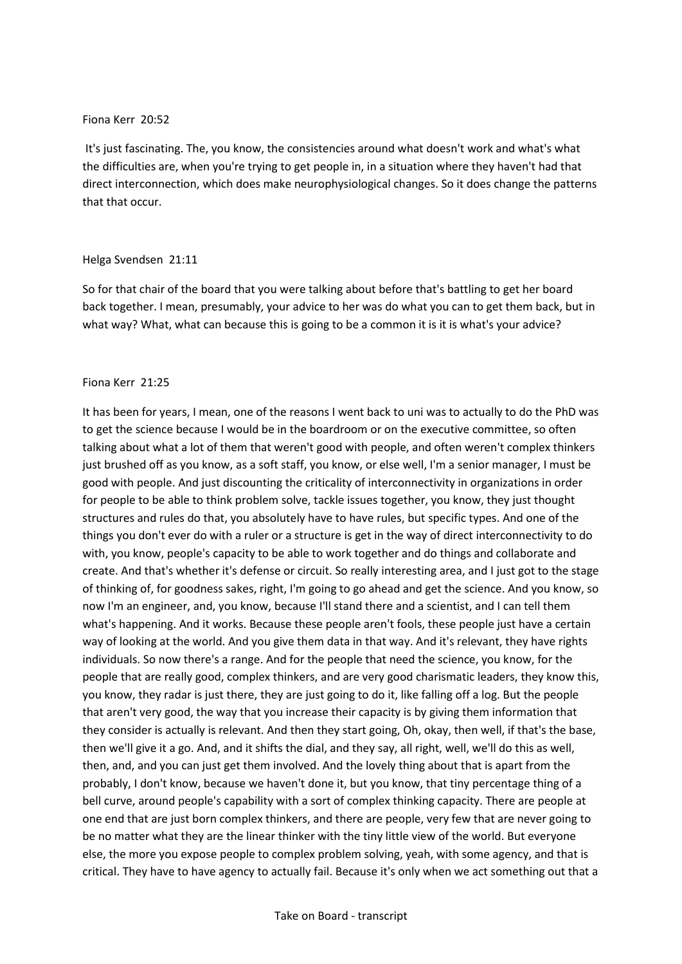## Fiona Kerr 20:52

It's just fascinating. The, you know, the consistencies around what doesn't work and what's what the difficulties are, when you're trying to get people in, in a situation where they haven't had that direct interconnection, which does make neurophysiological changes. So it does change the patterns that that occur.

## Helga Svendsen 21:11

So for that chair of the board that you were talking about before that's battling to get her board back together. I mean, presumably, your advice to her was do what you can to get them back, but in what way? What, what can because this is going to be a common it is it is what's your advice?

## Fiona Kerr 21:25

It has been for years, I mean, one of the reasons I went back to uni was to actually to do the PhD was to get the science because I would be in the boardroom or on the executive committee, so often talking about what a lot of them that weren't good with people, and often weren't complex thinkers just brushed off as you know, as a soft staff, you know, or else well, I'm a senior manager, I must be good with people. And just discounting the criticality of interconnectivity in organizations in order for people to be able to think problem solve, tackle issues together, you know, they just thought structures and rules do that, you absolutely have to have rules, but specific types. And one of the things you don't ever do with a ruler or a structure is get in the way of direct interconnectivity to do with, you know, people's capacity to be able to work together and do things and collaborate and create. And that's whether it's defense or circuit. So really interesting area, and I just got to the stage of thinking of, for goodness sakes, right, I'm going to go ahead and get the science. And you know, so now I'm an engineer, and, you know, because I'll stand there and a scientist, and I can tell them what's happening. And it works. Because these people aren't fools, these people just have a certain way of looking at the world. And you give them data in that way. And it's relevant, they have rights individuals. So now there's a range. And for the people that need the science, you know, for the people that are really good, complex thinkers, and are very good charismatic leaders, they know this, you know, they radar is just there, they are just going to do it, like falling off a log. But the people that aren't very good, the way that you increase their capacity is by giving them information that they consider is actually is relevant. And then they start going, Oh, okay, then well, if that's the base, then we'll give it a go. And, and it shifts the dial, and they say, all right, well, we'll do this as well, then, and, and you can just get them involved. And the lovely thing about that is apart from the probably, I don't know, because we haven't done it, but you know, that tiny percentage thing of a bell curve, around people's capability with a sort of complex thinking capacity. There are people at one end that are just born complex thinkers, and there are people, very few that are never going to be no matter what they are the linear thinker with the tiny little view of the world. But everyone else, the more you expose people to complex problem solving, yeah, with some agency, and that is critical. They have to have agency to actually fail. Because it's only when we act something out that a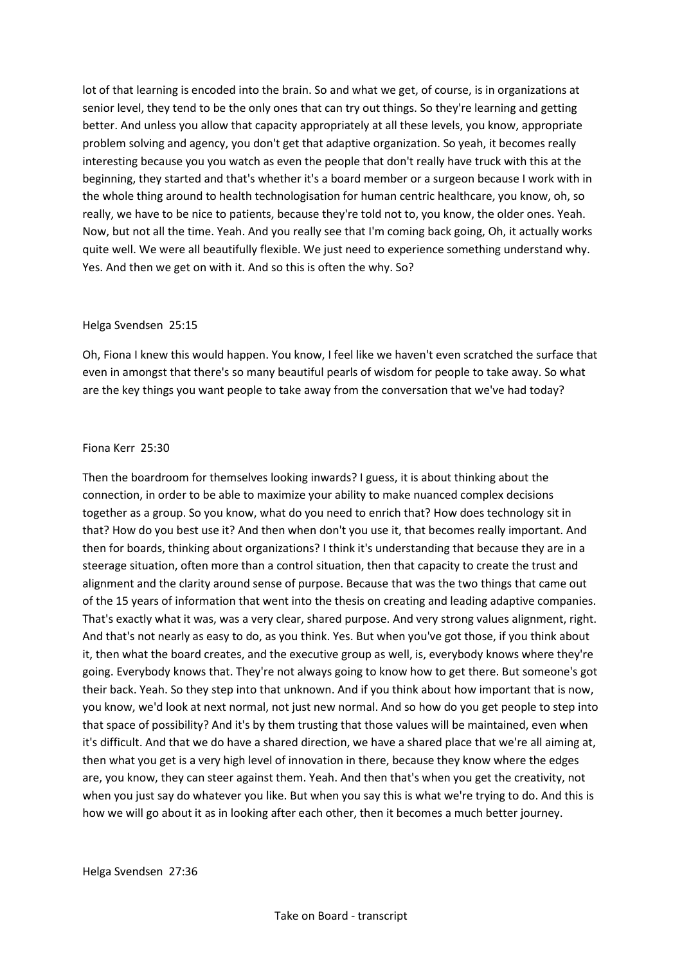lot of that learning is encoded into the brain. So and what we get, of course, is in organizations at senior level, they tend to be the only ones that can try out things. So they're learning and getting better. And unless you allow that capacity appropriately at all these levels, you know, appropriate problem solving and agency, you don't get that adaptive organization. So yeah, it becomes really interesting because you you watch as even the people that don't really have truck with this at the beginning, they started and that's whether it's a board member or a surgeon because I work with in the whole thing around to health technologisation for human centric healthcare, you know, oh, so really, we have to be nice to patients, because they're told not to, you know, the older ones. Yeah. Now, but not all the time. Yeah. And you really see that I'm coming back going, Oh, it actually works quite well. We were all beautifully flexible. We just need to experience something understand why. Yes. And then we get on with it. And so this is often the why. So?

## Helga Svendsen 25:15

Oh, Fiona I knew this would happen. You know, I feel like we haven't even scratched the surface that even in amongst that there's so many beautiful pearls of wisdom for people to take away. So what are the key things you want people to take away from the conversation that we've had today?

## Fiona Kerr 25:30

Then the boardroom for themselves looking inwards? I guess, it is about thinking about the connection, in order to be able to maximize your ability to make nuanced complex decisions together as a group. So you know, what do you need to enrich that? How does technology sit in that? How do you best use it? And then when don't you use it, that becomes really important. And then for boards, thinking about organizations? I think it's understanding that because they are in a steerage situation, often more than a control situation, then that capacity to create the trust and alignment and the clarity around sense of purpose. Because that was the two things that came out of the 15 years of information that went into the thesis on creating and leading adaptive companies. That's exactly what it was, was a very clear, shared purpose. And very strong values alignment, right. And that's not nearly as easy to do, as you think. Yes. But when you've got those, if you think about it, then what the board creates, and the executive group as well, is, everybody knows where they're going. Everybody knows that. They're not always going to know how to get there. But someone's got their back. Yeah. So they step into that unknown. And if you think about how important that is now, you know, we'd look at next normal, not just new normal. And so how do you get people to step into that space of possibility? And it's by them trusting that those values will be maintained, even when it's difficult. And that we do have a shared direction, we have a shared place that we're all aiming at, then what you get is a very high level of innovation in there, because they know where the edges are, you know, they can steer against them. Yeah. And then that's when you get the creativity, not when you just say do whatever you like. But when you say this is what we're trying to do. And this is how we will go about it as in looking after each other, then it becomes a much better journey.